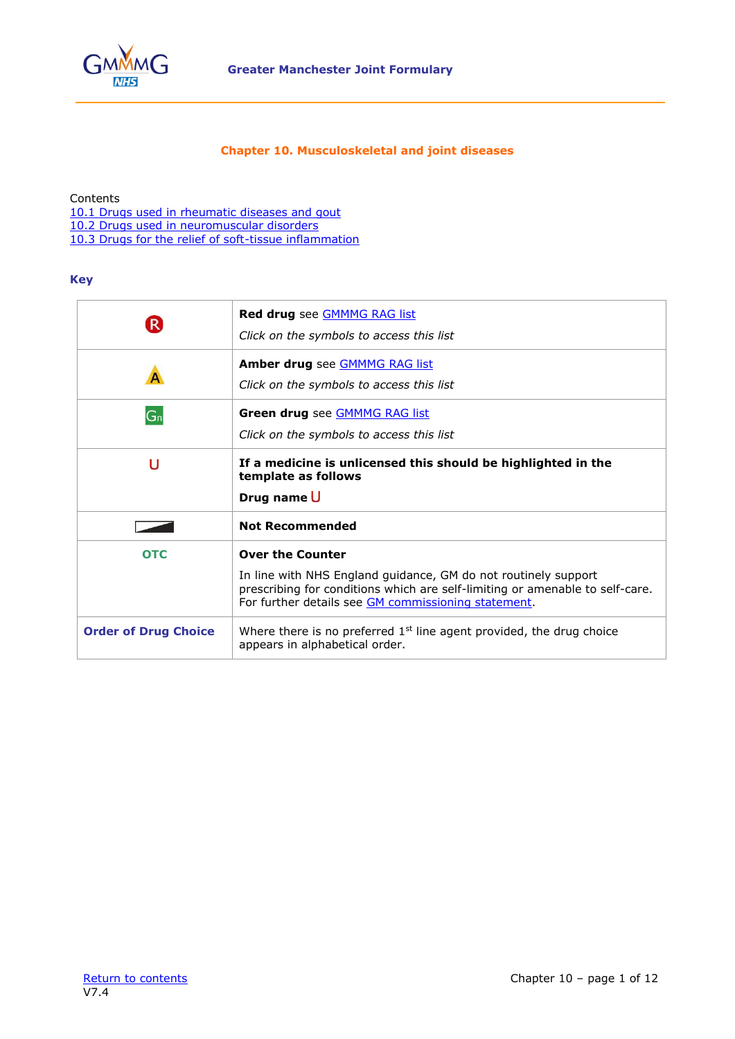

#### **Chapter 10. Musculoskeletal and joint diseases**

<span id="page-0-0"></span>Contents

[10.1 Drugs used in rheumatic diseases and gout](#page-1-0) [10.2 Drugs used in neuromuscular disorders](#page-10-0) [10.3 Drugs for the relief of soft-tissue inflammation](#page-11-0)

**Key**

| $\mathsf{R}$                | <b>Red drug</b> see <b>GMMMG</b> RAG list<br>Click on the symbols to access this list                                                                                                                                            |  |  |
|-----------------------------|----------------------------------------------------------------------------------------------------------------------------------------------------------------------------------------------------------------------------------|--|--|
|                             | Amber drug see <b>GMMMG RAG list</b><br>Click on the symbols to access this list                                                                                                                                                 |  |  |
| G <sub>n</sub>              | Green drug see <b>GMMMG RAG list</b><br>Click on the symbols to access this list                                                                                                                                                 |  |  |
| U                           | If a medicine is unlicensed this should be highlighted in the<br>template as follows<br>Drug name U                                                                                                                              |  |  |
|                             | <b>Not Recommended</b>                                                                                                                                                                                                           |  |  |
| <b>OTC</b>                  | <b>Over the Counter</b><br>In line with NHS England guidance, GM do not routinely support<br>prescribing for conditions which are self-limiting or amenable to self-care.<br>For further details see GM commissioning statement. |  |  |
| <b>Order of Drug Choice</b> | Where there is no preferred $1st$ line agent provided, the drug choice<br>appears in alphabetical order.                                                                                                                         |  |  |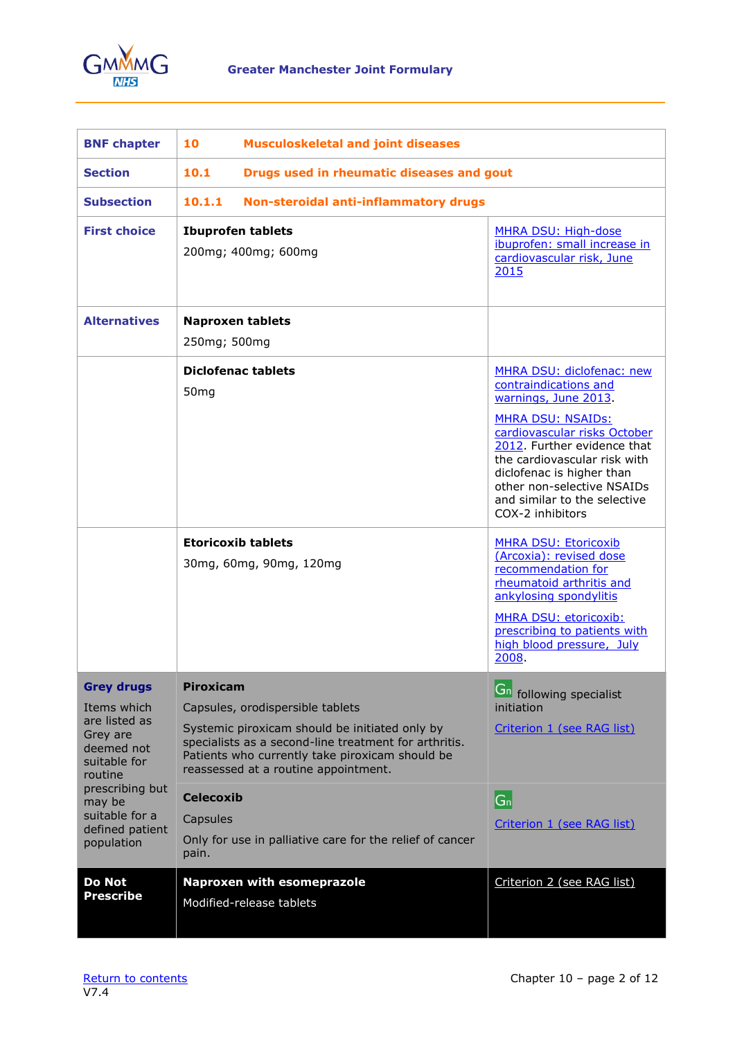

<span id="page-1-0"></span>

| <b>BNF chapter</b>                                                                                                                  | 10<br><b>Musculoskeletal and joint diseases</b>                                                                                                                                                                                                                                |                                                                                                                                                                                                                                                                                                                      |  |
|-------------------------------------------------------------------------------------------------------------------------------------|--------------------------------------------------------------------------------------------------------------------------------------------------------------------------------------------------------------------------------------------------------------------------------|----------------------------------------------------------------------------------------------------------------------------------------------------------------------------------------------------------------------------------------------------------------------------------------------------------------------|--|
| <b>Section</b>                                                                                                                      | 10.1<br>Drugs used in rheumatic diseases and gout                                                                                                                                                                                                                              |                                                                                                                                                                                                                                                                                                                      |  |
| <b>Subsection</b>                                                                                                                   | 10.1.1<br>Non-steroidal anti-inflammatory drugs                                                                                                                                                                                                                                |                                                                                                                                                                                                                                                                                                                      |  |
| <b>First choice</b>                                                                                                                 | <b>Ibuprofen tablets</b><br>200mg; 400mg; 600mg                                                                                                                                                                                                                                | MHRA DSU: High-dose<br>ibuprofen: small increase in<br>cardiovascular risk, June<br>2015                                                                                                                                                                                                                             |  |
| <b>Alternatives</b>                                                                                                                 | <b>Naproxen tablets</b><br>250mg; 500mg                                                                                                                                                                                                                                        |                                                                                                                                                                                                                                                                                                                      |  |
|                                                                                                                                     | <b>Diclofenac tablets</b><br>50 <sub>mg</sub>                                                                                                                                                                                                                                  | MHRA DSU: diclofenac: new<br>contraindications and<br>warnings, June 2013.<br><b>MHRA DSU: NSAIDs:</b><br>cardiovascular risks October<br>2012. Further evidence that<br>the cardiovascular risk with<br>diclofenac is higher than<br>other non-selective NSAIDs<br>and similar to the selective<br>COX-2 inhibitors |  |
|                                                                                                                                     | <b>Etoricoxib tablets</b><br>30mg, 60mg, 90mg, 120mg                                                                                                                                                                                                                           | <b>MHRA DSU: Etoricoxib</b><br>(Arcoxia): revised dose<br>recommendation for<br>rheumatoid arthritis and<br>ankylosing spondylitis<br>MHRA DSU: etoricoxib:<br>prescribing to patients with<br>high blood pressure, July<br>2008                                                                                     |  |
| <b>Grey drugs</b><br>Items which<br>are listed as<br>Grey are<br>deemed not<br>suitable for<br>routine<br>prescribing but<br>may be | <b>Piroxicam</b><br>Capsules, orodispersible tablets<br>Systemic piroxicam should be initiated only by<br>specialists as a second-line treatment for arthritis.<br>Patients who currently take piroxicam should be<br>reassessed at a routine appointment.<br><b>Celecoxib</b> | <b>Gn</b> following specialist<br>initiation<br>Criterion 1 (see RAG list)<br>$ G_n $                                                                                                                                                                                                                                |  |
| suitable for a<br>defined patient<br>population                                                                                     | Capsules<br>Only for use in palliative care for the relief of cancer<br>pain.                                                                                                                                                                                                  | Criterion 1 (see RAG list)                                                                                                                                                                                                                                                                                           |  |
| <b>Do Not</b><br><b>Prescribe</b>                                                                                                   | <b>Naproxen with esomeprazole</b><br>Modified-release tablets                                                                                                                                                                                                                  | Criterion 2 (see RAG list)                                                                                                                                                                                                                                                                                           |  |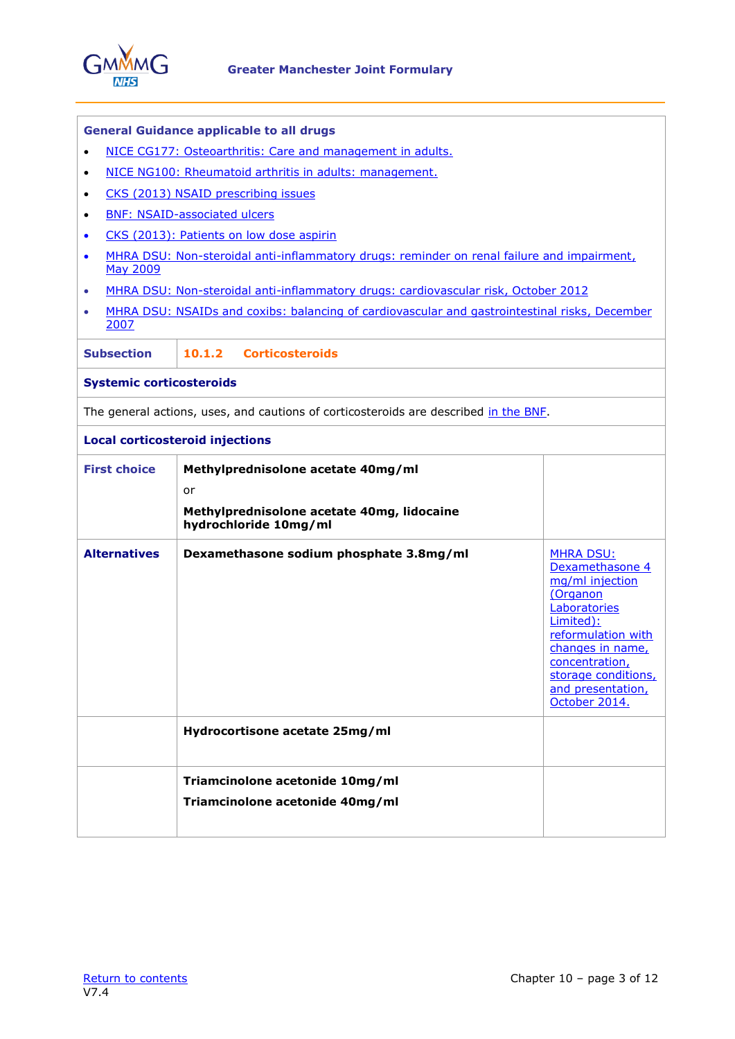

| <b>General Guidance applicable to all drugs</b>                 |                                                                                               |                                                                                                                                                                                                                          |  |
|-----------------------------------------------------------------|-----------------------------------------------------------------------------------------------|--------------------------------------------------------------------------------------------------------------------------------------------------------------------------------------------------------------------------|--|
| NICE CG177: Osteoarthritis: Care and management in adults.<br>٠ |                                                                                               |                                                                                                                                                                                                                          |  |
| NICE NG100: Rheumatoid arthritis in adults: management.<br>٠    |                                                                                               |                                                                                                                                                                                                                          |  |
| ٠                                                               | CKS (2013) NSAID prescribing issues                                                           |                                                                                                                                                                                                                          |  |
| ٠                                                               | <b>BNF: NSAID-associated ulcers</b>                                                           |                                                                                                                                                                                                                          |  |
| $\bullet$                                                       | CKS (2013): Patients on low dose aspirin                                                      |                                                                                                                                                                                                                          |  |
| $\bullet$<br><b>May 2009</b>                                    | MHRA DSU: Non-steroidal anti-inflammatory drugs: reminder on renal failure and impairment,    |                                                                                                                                                                                                                          |  |
| $\bullet$                                                       | MHRA DSU: Non-steroidal anti-inflammatory drugs: cardiovascular risk, October 2012            |                                                                                                                                                                                                                          |  |
| $\bullet$<br>2007                                               | MHRA DSU: NSAIDs and coxibs: balancing of cardiovascular and gastrointestinal risks, December |                                                                                                                                                                                                                          |  |
| <b>Subsection</b>                                               | <b>Corticosteroids</b><br>10.1.2                                                              |                                                                                                                                                                                                                          |  |
| <b>Systemic corticosteroids</b>                                 |                                                                                               |                                                                                                                                                                                                                          |  |
|                                                                 | The general actions, uses, and cautions of corticosteroids are described in the BNF.          |                                                                                                                                                                                                                          |  |
|                                                                 | <b>Local corticosteroid injections</b>                                                        |                                                                                                                                                                                                                          |  |
| <b>First choice</b>                                             | Methylprednisolone acetate 40mg/ml                                                            |                                                                                                                                                                                                                          |  |
|                                                                 | or                                                                                            |                                                                                                                                                                                                                          |  |
|                                                                 | Methylprednisolone acetate 40mg, lidocaine<br>hydrochloride 10mg/ml                           |                                                                                                                                                                                                                          |  |
| <b>Alternatives</b>                                             | Dexamethasone sodium phosphate 3.8mg/ml                                                       | <b>MHRA DSU:</b><br>Dexamethasone 4<br>mg/ml injection<br>(Organon<br>Laboratories<br>Limited):<br>reformulation with<br>changes in name,<br>concentration,<br>storage conditions,<br>and presentation,<br>October 2014. |  |
|                                                                 | Hydrocortisone acetate 25mg/ml                                                                |                                                                                                                                                                                                                          |  |
|                                                                 | Triamcinolone acetonide 10mg/ml<br>Triamcinolone acetonide 40mg/ml                            |                                                                                                                                                                                                                          |  |
|                                                                 |                                                                                               |                                                                                                                                                                                                                          |  |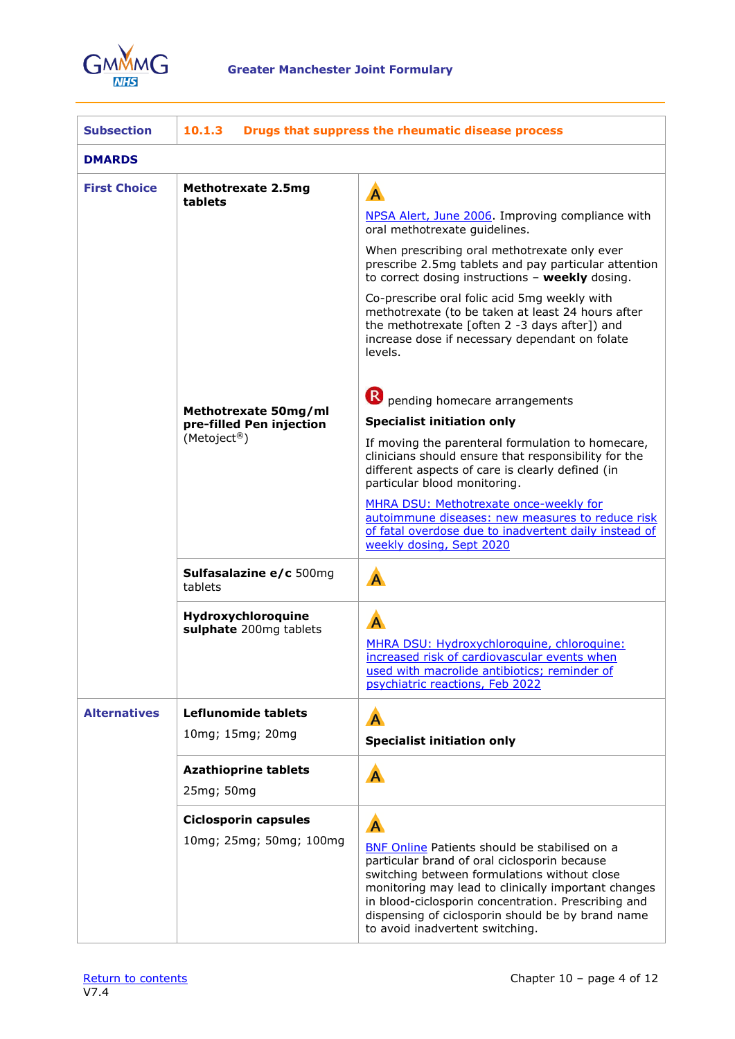

| <b>Subsection</b>   | 10.1.3<br>Drugs that suppress the rheumatic disease process                                                                                                                                                     |                                                                                                                                                                                                                                                                                                                                                     |  |
|---------------------|-----------------------------------------------------------------------------------------------------------------------------------------------------------------------------------------------------------------|-----------------------------------------------------------------------------------------------------------------------------------------------------------------------------------------------------------------------------------------------------------------------------------------------------------------------------------------------------|--|
| <b>DMARDS</b>       |                                                                                                                                                                                                                 |                                                                                                                                                                                                                                                                                                                                                     |  |
| <b>First Choice</b> | <b>Methotrexate 2.5mg</b><br>tablets                                                                                                                                                                            | A<br>NPSA Alert, June 2006. Improving compliance with                                                                                                                                                                                                                                                                                               |  |
|                     |                                                                                                                                                                                                                 | oral methotrexate guidelines.<br>When prescribing oral methotrexate only ever<br>prescribe 2.5mg tablets and pay particular attention<br>to correct dosing instructions - weekly dosing.                                                                                                                                                            |  |
|                     | Co-prescribe oral folic acid 5mg weekly with<br>methotrexate (to be taken at least 24 hours after<br>the methotrexate [often 2 -3 days after]) and<br>increase dose if necessary dependant on folate<br>levels. |                                                                                                                                                                                                                                                                                                                                                     |  |
|                     | Methotrexate 50mg/ml<br>pre-filled Pen injection                                                                                                                                                                | $\mathbf R$ pending homecare arrangements<br><b>Specialist initiation only</b>                                                                                                                                                                                                                                                                      |  |
|                     | (Metoject <sup>®</sup> )                                                                                                                                                                                        | If moving the parenteral formulation to homecare,<br>clinicians should ensure that responsibility for the<br>different aspects of care is clearly defined (in<br>particular blood monitoring.                                                                                                                                                       |  |
|                     |                                                                                                                                                                                                                 | MHRA DSU: Methotrexate once-weekly for<br>autoimmune diseases: new measures to reduce risk<br>of fatal overdose due to inadvertent daily instead of<br>weekly dosing, Sept 2020                                                                                                                                                                     |  |
|                     | Sulfasalazine e/c 500mg<br>tablets                                                                                                                                                                              | A                                                                                                                                                                                                                                                                                                                                                   |  |
|                     | Hydroxychloroquine<br>sulphate 200mg tablets                                                                                                                                                                    | A<br>MHRA DSU: Hydroxychloroquine, chloroquine:<br>increased risk of cardiovascular events when<br>used with macrolide antibiotics; reminder of<br>psychiatric reactions, Feb 2022                                                                                                                                                                  |  |
| <b>Alternatives</b> | Leflunomide tablets<br>10mg; 15mg; 20mg                                                                                                                                                                         | A<br><b>Specialist initiation only</b>                                                                                                                                                                                                                                                                                                              |  |
|                     | <b>Azathioprine tablets</b><br>25mg; 50mg                                                                                                                                                                       | A                                                                                                                                                                                                                                                                                                                                                   |  |
|                     | <b>Ciclosporin capsules</b><br>10mg; 25mg; 50mg; 100mg                                                                                                                                                          | BNF Online Patients should be stabilised on a<br>particular brand of oral ciclosporin because<br>switching between formulations without close<br>monitoring may lead to clinically important changes<br>in blood-ciclosporin concentration. Prescribing and<br>dispensing of ciclosporin should be by brand name<br>to avoid inadvertent switching. |  |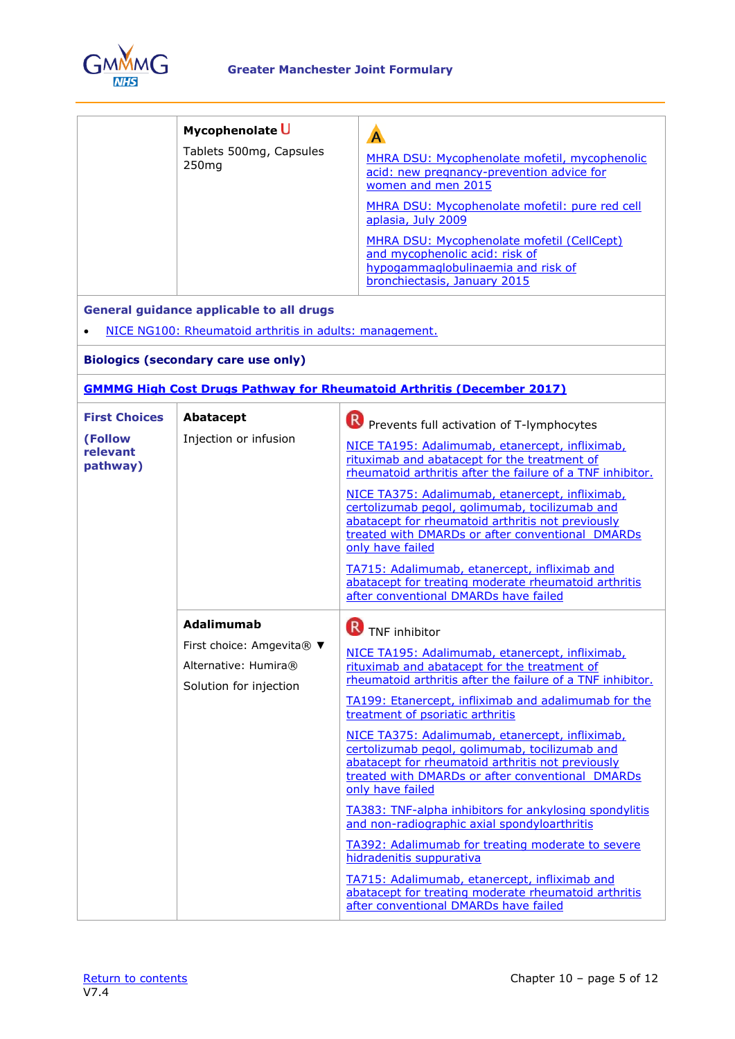

| Mycophenolate U<br>Tablets 500mg, Capsules<br>250 <sub>mq</sub> | A<br>MHRA DSU: Mycophenolate mofetil, mycophenolic<br>acid: new pregnancy-prevention advice for<br>women and men 2015<br>MHRA DSU: Mycophenolate mofetil: pure red cell<br>aplasia, July 2009<br>MHRA DSU: Mycophenolate mofetil (CellCept)<br>and mycophenolic acid: risk of<br>hypogammaglobulinaemia and risk of<br>bronchiectasis, January 2015 |
|-----------------------------------------------------------------|-----------------------------------------------------------------------------------------------------------------------------------------------------------------------------------------------------------------------------------------------------------------------------------------------------------------------------------------------------|
|-----------------------------------------------------------------|-----------------------------------------------------------------------------------------------------------------------------------------------------------------------------------------------------------------------------------------------------------------------------------------------------------------------------------------------------|

## **General guidance applicable to all drugs**

• [NICE NG100: Rheumatoid arthritis in adults: management.](http://www.nice.org.uk/guidance/ng100)

#### **Biologics (secondary care use only)**

## **[GMMMG High Cost Drugs Pathway for Rheumatoid Arthritis \(December](https://gmmmg.nhs.uk/guidance/clinical-guidance-and-pathways/) 2017)**

| <b>First Choices</b><br>(Follow<br>relevant<br>pathway) | Abatacept<br>Injection or infusion                                                               | R<br>Prevents full activation of T-lymphocytes<br>NICE TA195: Adalimumab, etanercept, infliximab,<br>rituximab and abatacept for the treatment of<br>rheumatoid arthritis after the failure of a TNF inhibitor.<br>NICE TA375: Adalimumab, etanercept, infliximab,<br>certolizumab pegol, golimumab, tocilizumab and<br>abatacept for rheumatoid arthritis not previously<br>treated with DMARDs or after conventional DMARDs<br>only have failed<br>TA715: Adalimumab, etanercept, infliximab and<br>abatacept for treating moderate rheumatoid arthritis<br>after conventional DMARDs have failed                                                                                                                                                                                                                                                       |
|---------------------------------------------------------|--------------------------------------------------------------------------------------------------|-----------------------------------------------------------------------------------------------------------------------------------------------------------------------------------------------------------------------------------------------------------------------------------------------------------------------------------------------------------------------------------------------------------------------------------------------------------------------------------------------------------------------------------------------------------------------------------------------------------------------------------------------------------------------------------------------------------------------------------------------------------------------------------------------------------------------------------------------------------|
|                                                         | <b>Adalimumab</b><br>First choice: Amgevita® ▼<br>Alternative: Humira®<br>Solution for injection | TNF inhibitor<br>NICE TA195: Adalimumab, etanercept, infliximab,<br>rituximab and abatacept for the treatment of<br>rheumatoid arthritis after the failure of a TNF inhibitor.<br>TA199: Etanercept, infliximab and adalimumab for the<br>treatment of psoriatic arthritis<br>NICE TA375: Adalimumab, etanercept, infliximab,<br>certolizumab pegol, golimumab, tocilizumab and<br>abatacept for rheumatoid arthritis not previously<br>treated with DMARDs or after conventional DMARDs<br>only have failed<br>TA383: TNF-alpha inhibitors for ankylosing spondylitis<br>and non-radiographic axial spondyloarthritis<br>TA392: Adalimumab for treating moderate to severe<br>hidradenitis suppurativa<br>TA715: Adalimumab, etanercept, infliximab and<br>abatacept for treating moderate rheumatoid arthritis<br>after conventional DMARDs have failed |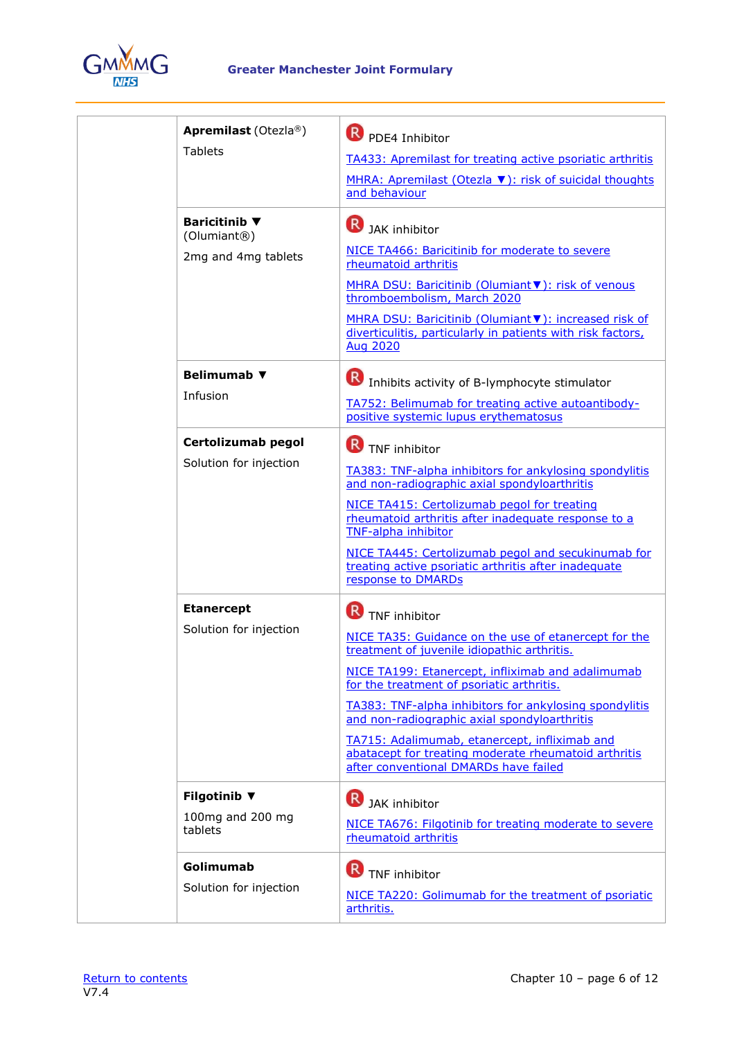

| Apremilast (Otezla®)<br><b>Tablets</b>                       | <b>R</b> PDE4 Inhibitor                                                                                                                        |
|--------------------------------------------------------------|------------------------------------------------------------------------------------------------------------------------------------------------|
|                                                              | TA433: Apremilast for treating active psoriatic arthritis                                                                                      |
|                                                              | MHRA: Apremilast (Otezla ▼): risk of suicidal thoughts<br>and behaviour                                                                        |
| Baricitinib $\blacktriangledown$<br>(Olumiant <sup>®</sup> ) | $\mathbf R$<br>JAK inhibitor                                                                                                                   |
| 2mg and 4mg tablets                                          | NICE TA466: Baricitinib for moderate to severe<br>rheumatoid arthritis                                                                         |
|                                                              | MHRA DSU: Baricitinib (Olumiant V): risk of venous<br>thromboembolism, March 2020                                                              |
|                                                              | MHRA DSU: Baricitinib (Olumiant V): increased risk of<br>diverticulitis, particularly in patients with risk factors,<br><b>Aug 2020</b>        |
| <b>Belimumab</b> ▼                                           | $\bf{R}$ Inhibits activity of B-lymphocyte stimulator                                                                                          |
| <b>Infusion</b>                                              | TA752: Belimumab for treating active autoantibody-<br>positive systemic lupus erythematosus                                                    |
| Certolizumab pegol                                           | $\left( \mathsf{R}\right)$<br>TNF inhibitor                                                                                                    |
| Solution for injection                                       | TA383: TNF-alpha inhibitors for ankylosing spondylitis<br>and non-radiographic axial spondyloarthritis                                         |
|                                                              | NICE TA415: Certolizumab pegol for treating<br>rheumatoid arthritis after inadequate response to a<br>TNF-alpha inhibitor                      |
|                                                              | NICE TA445: Certolizumab pegol and secukinumab for<br>treating active psoriatic arthritis after inadequate<br>response to DMARDs               |
| <b>Etanercept</b>                                            | <b>TNF</b> inhibitor                                                                                                                           |
| Solution for injection                                       | NICE TA35: Guidance on the use of etanercept for the<br>treatment of juvenile idiopathic arthritis.                                            |
|                                                              | NICE TA199: Etanercept, infliximab and adalimumab<br>for the treatment of psoriatic arthritis.                                                 |
|                                                              | TA383: TNF-alpha inhibitors for ankylosing spondylitis<br>and non-radiographic axial spondyloarthritis                                         |
|                                                              | TA715: Adalimumab, etanercept, infliximab and<br>abatacept for treating moderate rheumatoid arthritis<br>after conventional DMARDs have failed |
| <b>Filgotinib ▼</b>                                          | JAK inhibitor                                                                                                                                  |
| 100mg and 200 mg<br>tablets                                  | NICE TA676: Filgotinib for treating moderate to severe<br>rheumatoid arthritis                                                                 |
| Golimumab                                                    | $\left( \mathsf{R}\right)$<br><b>TNF</b> inhibitor                                                                                             |
| Solution for injection                                       | NICE TA220: Golimumab for the treatment of psoriatic<br>arthritis.                                                                             |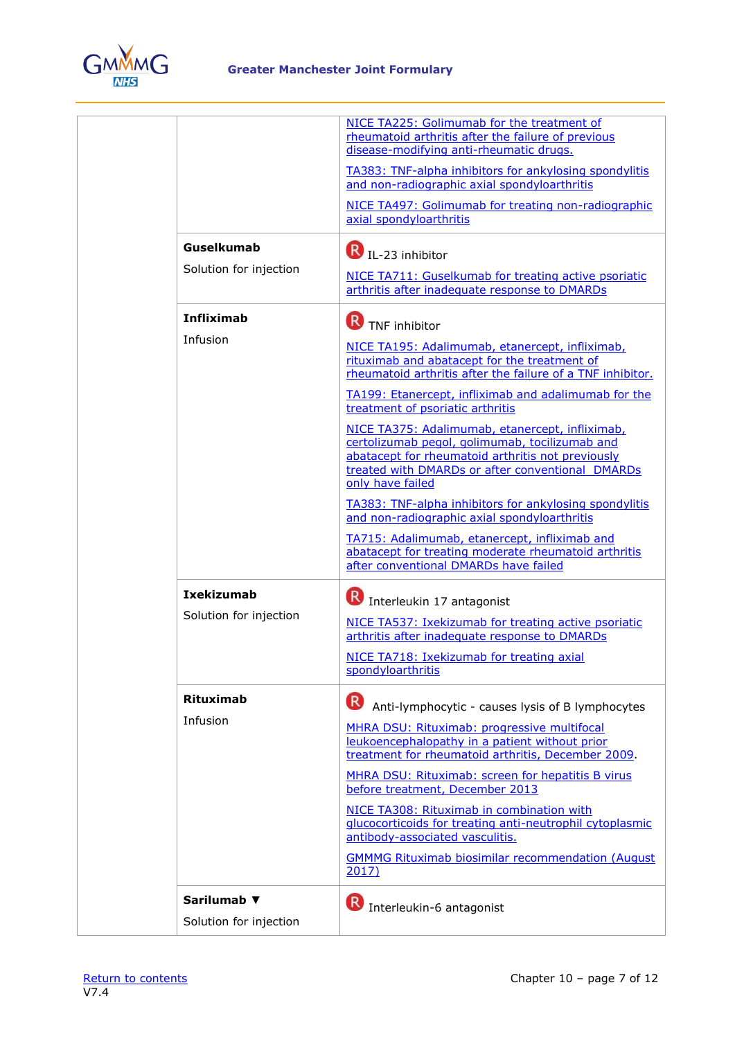

|                                       | NICE TA225: Golimumab for the treatment of<br>rheumatoid arthritis after the failure of previous<br>disease-modifying anti-rheumatic drugs.                                                                                    |
|---------------------------------------|--------------------------------------------------------------------------------------------------------------------------------------------------------------------------------------------------------------------------------|
|                                       | TA383: TNF-alpha inhibitors for ankylosing spondylitis<br>and non-radiographic axial spondyloarthritis                                                                                                                         |
|                                       | NICE TA497: Golimumab for treating non-radiographic<br>axial spondyloarthritis                                                                                                                                                 |
| <b>Guselkumab</b>                     | R IL-23 inhibitor                                                                                                                                                                                                              |
| Solution for injection                | NICE TA711: Guselkumab for treating active psoriatic<br>arthritis after inadequate response to DMARDs                                                                                                                          |
| <b>Infliximab</b>                     | R TNF inhibitor                                                                                                                                                                                                                |
| Infusion                              | NICE TA195: Adalimumab, etanercept, infliximab,<br>rituximab and abatacept for the treatment of<br>rheumatoid arthritis after the failure of a TNF inhibitor.                                                                  |
|                                       | TA199: Etanercept, infliximab and adalimumab for the<br>treatment of psoriatic arthritis                                                                                                                                       |
|                                       | NICE TA375: Adalimumab, etanercept, infliximab,<br>certolizumab pegol, golimumab, tocilizumab and<br>abatacept for rheumatoid arthritis not previously<br>treated with DMARDs or after conventional DMARDs<br>only have failed |
|                                       | TA383: TNF-alpha inhibitors for ankylosing spondylitis<br>and non-radiographic axial spondyloarthritis                                                                                                                         |
|                                       | TA715: Adalimumab, etanercept, infliximab and<br>abatacept for treating moderate rheumatoid arthritis<br>after conventional DMARDs have failed                                                                                 |
| <b>Ixekizumab</b>                     | Interleukin 17 antagonist                                                                                                                                                                                                      |
| Solution for injection                | NICE TA537: Ixekizumab for treating active psoriatic<br>arthritis after inadequate response to DMARDs                                                                                                                          |
|                                       | NICE TA718: Ixekizumab for treating axial<br>spondyloarthritis                                                                                                                                                                 |
| <b>Rituximab</b><br>Infusion          | (R)<br>Anti-lymphocytic - causes lysis of B lymphocytes<br>MHRA DSU: Rituximab: progressive multifocal                                                                                                                         |
|                                       | leukoencephalopathy in a patient without prior<br>treatment for rheumatoid arthritis, December 2009.                                                                                                                           |
|                                       | MHRA DSU: Rituximab: screen for hepatitis B virus<br>before treatment, December 2013                                                                                                                                           |
|                                       | NICE TA308: Rituximab in combination with<br>glucocorticoids for treating anti-neutrophil cytoplasmic<br>antibody-associated vasculitis.                                                                                       |
|                                       | <b>GMMMG Rituximab biosimilar recommendation (August</b><br>2017)                                                                                                                                                              |
| Sarilumab ▼<br>Solution for injection | R Interleukin-6 antagonist                                                                                                                                                                                                     |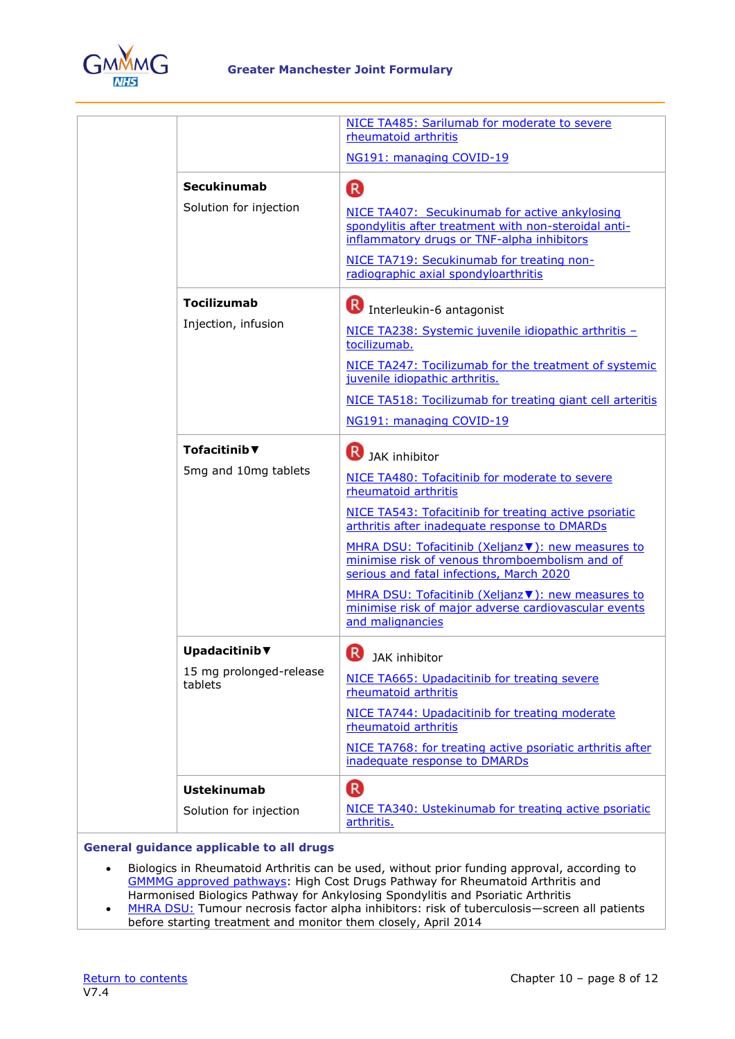

|  |                                                          | NICE TA485: Sarilumab for moderate to severe<br>rheumatoid arthritis                                                                                |
|--|----------------------------------------------------------|-----------------------------------------------------------------------------------------------------------------------------------------------------|
|  |                                                          | NG191: managing COVID-19                                                                                                                            |
|  | <b>Secukinumab</b>                                       | R                                                                                                                                                   |
|  | Solution for injection                                   | NICE TA407: Secukinumab for active ankylosing<br>spondylitis after treatment with non-steroidal anti-<br>inflammatory drugs or TNF-alpha inhibitors |
|  |                                                          | NICE TA719: Secukinumab for treating non-<br>radiographic axial spondyloarthritis                                                                   |
|  | <b>Tocilizumab</b>                                       | R Interleukin-6 antagonist                                                                                                                          |
|  | Injection, infusion                                      | NICE TA238: Systemic juvenile idiopathic arthritis -<br>tocilizumab.                                                                                |
|  |                                                          | NICE TA247: Tocilizumab for the treatment of systemic<br>juvenile idiopathic arthritis.                                                             |
|  |                                                          | NICE TA518: Tocilizumab for treating giant cell arteritis                                                                                           |
|  |                                                          | NG191: managing COVID-19                                                                                                                            |
|  | Tofacitinib $\blacktriangledown$<br>5mg and 10mg tablets | R<br>JAK inhibitor                                                                                                                                  |
|  |                                                          | NICE TA480: Tofacitinib for moderate to severe<br>rheumatoid arthritis                                                                              |
|  |                                                          | NICE TA543: Tofacitinib for treating active psoriatic<br>arthritis after inadequate response to DMARDs                                              |
|  |                                                          | MHRA DSU: Tofacitinib (Xeljanz V): new measures to<br>minimise risk of venous thromboembolism and of<br>serious and fatal infections, March 2020    |
|  |                                                          | MHRA DSU: Tofacitinib (Xeljanz V): new measures to<br>minimise risk of major adverse cardiovascular events<br>and malignancies                      |
|  | Upadacitinib $\nabla$                                    | R.<br>JAK inhibitor                                                                                                                                 |
|  | 15 mg prolonged-release<br>tablets                       | NICE TA665: Upadacitinib for treating severe<br>rheumatoid arthritis                                                                                |
|  |                                                          | NICE TA744: Upadacitinib for treating moderate<br>rheumatoid arthritis                                                                              |
|  |                                                          | NICE TA768: for treating active psoriatic arthritis after<br>inadequate response to DMARDs                                                          |
|  | <b>Ustekinumab</b>                                       | R                                                                                                                                                   |
|  | Solution for injection                                   | NICE TA340: Ustekinumab for treating active psoriatic<br>arthritis.                                                                                 |
|  |                                                          |                                                                                                                                                     |

# **General guidance applicable to all drugs**

- Biologics in Rheumatoid Arthritis can be used, without prior funding approval, according to [GMMMG approved pathways:](https://gmmmg.nhs.uk/guidance/clinical-guidance-and-pathways/) High Cost Drugs Pathway for Rheumatoid Arthritis and Harmonised Biologics Pathway for Ankylosing Spondylitis and Psoriatic Arthritis
- [MHRA DSU:](https://www.gov.uk/drug-safety-update/tumour-necrosis-factor-alpha-inhibitors) Tumour necrosis factor alpha inhibitors: risk of tuberculosis—screen all patients before starting treatment and monitor them closely, April 2014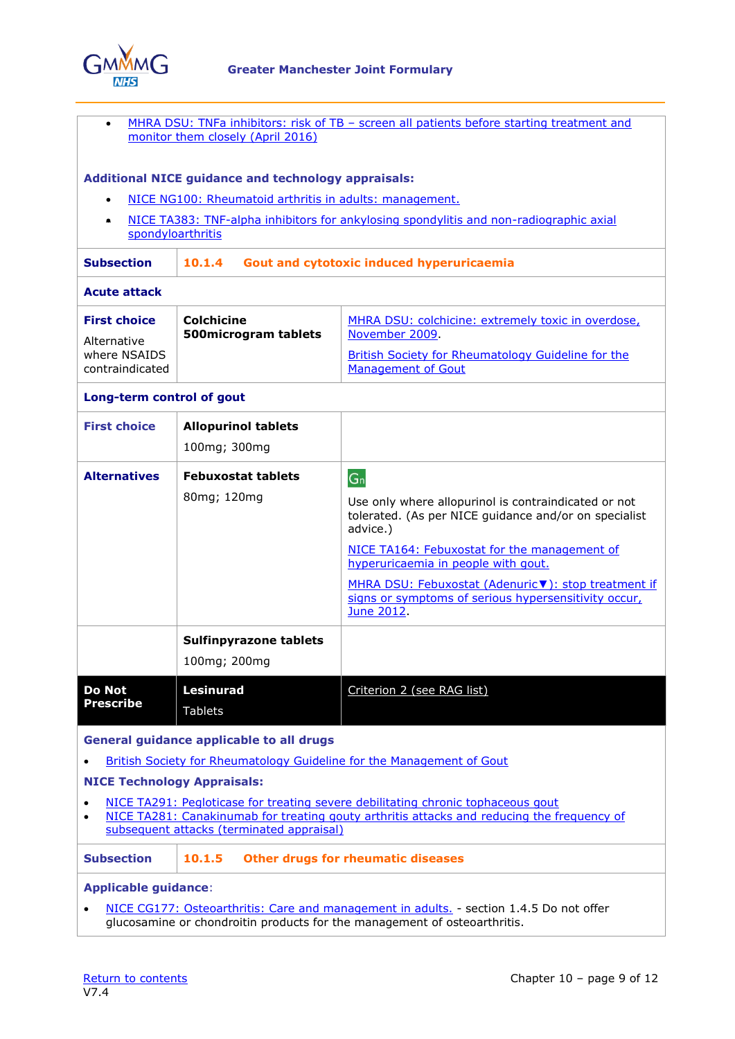

| MHRA DSU: TNFa inhibitors: risk of TB - screen all patients before starting treatment and<br>$\bullet$                                                                                                                      |                                                            |                                                                                                                           |  |
|-----------------------------------------------------------------------------------------------------------------------------------------------------------------------------------------------------------------------------|------------------------------------------------------------|---------------------------------------------------------------------------------------------------------------------------|--|
| monitor them closely (April 2016)                                                                                                                                                                                           |                                                            |                                                                                                                           |  |
|                                                                                                                                                                                                                             | <b>Additional NICE guidance and technology appraisals:</b> |                                                                                                                           |  |
| $\bullet$                                                                                                                                                                                                                   | NICE NG100: Rheumatoid arthritis in adults: management.    |                                                                                                                           |  |
| $\bullet$<br>spondyloarthritis                                                                                                                                                                                              |                                                            | NICE TA383: TNF-alpha inhibitors for ankylosing spondylitis and non-radiographic axial                                    |  |
| <b>Subsection</b>                                                                                                                                                                                                           | 10.1.4                                                     | <b>Gout and cytotoxic induced hyperuricaemia</b>                                                                          |  |
| <b>Acute attack</b>                                                                                                                                                                                                         |                                                            |                                                                                                                           |  |
| <b>First choice</b><br>Alternative                                                                                                                                                                                          | <b>Colchicine</b><br>500microgram tablets                  | MHRA DSU: colchicine: extremely toxic in overdose,<br>November 2009.                                                      |  |
| where NSAIDS<br>contraindicated                                                                                                                                                                                             |                                                            | <b>British Society for Rheumatology Guideline for the</b><br><b>Management of Gout</b>                                    |  |
| Long-term control of gout                                                                                                                                                                                                   |                                                            |                                                                                                                           |  |
| <b>First choice</b>                                                                                                                                                                                                         | <b>Allopurinol tablets</b>                                 |                                                                                                                           |  |
|                                                                                                                                                                                                                             | 100mg; 300mg                                               |                                                                                                                           |  |
| <b>Alternatives</b>                                                                                                                                                                                                         | <b>Febuxostat tablets</b>                                  | G <sub>n</sub>                                                                                                            |  |
|                                                                                                                                                                                                                             | 80mg; 120mg                                                | Use only where allopurinol is contraindicated or not<br>tolerated. (As per NICE guidance and/or on specialist<br>advice.) |  |
|                                                                                                                                                                                                                             |                                                            | NICE TA164: Febuxostat for the management of<br>hyperuricaemia in people with gout.                                       |  |
|                                                                                                                                                                                                                             |                                                            | MHRA DSU: Febuxostat (Adenuric V): stop treatment if                                                                      |  |
|                                                                                                                                                                                                                             |                                                            | signs or symptoms of serious hypersensitivity occur,<br>June 2012.                                                        |  |
|                                                                                                                                                                                                                             | Sulfinpyrazone tablets                                     |                                                                                                                           |  |
|                                                                                                                                                                                                                             | 100mg; 200mg                                               |                                                                                                                           |  |
| Do Not<br><b>Prescribe</b>                                                                                                                                                                                                  | <b>Lesinurad</b><br><b>Tablets</b>                         | Criterion 2 (see RAG list)                                                                                                |  |
| <b>General guidance applicable to all drugs</b>                                                                                                                                                                             |                                                            |                                                                                                                           |  |
| British Society for Rheumatology Guideline for the Management of Gout                                                                                                                                                       |                                                            |                                                                                                                           |  |
| <b>NICE Technology Appraisals:</b>                                                                                                                                                                                          |                                                            |                                                                                                                           |  |
| NICE TA291: Pegloticase for treating severe debilitating chronic tophaceous gout<br>NICE TA281: Canakinumab for treating gouty arthritis attacks and reducing the frequency of<br>subsequent attacks (terminated appraisal) |                                                            |                                                                                                                           |  |
| <b>Subsection</b><br>10.1.5<br><b>Other drugs for rheumatic diseases</b>                                                                                                                                                    |                                                            |                                                                                                                           |  |
| <b>Applicable guidance:</b>                                                                                                                                                                                                 |                                                            |                                                                                                                           |  |
| NICE CG177: Osteoarthritis: Care and management in adults. - section 1.4.5 Do not offer                                                                                                                                     |                                                            |                                                                                                                           |  |

glucosamine or chondroitin products for the management of osteoarthritis.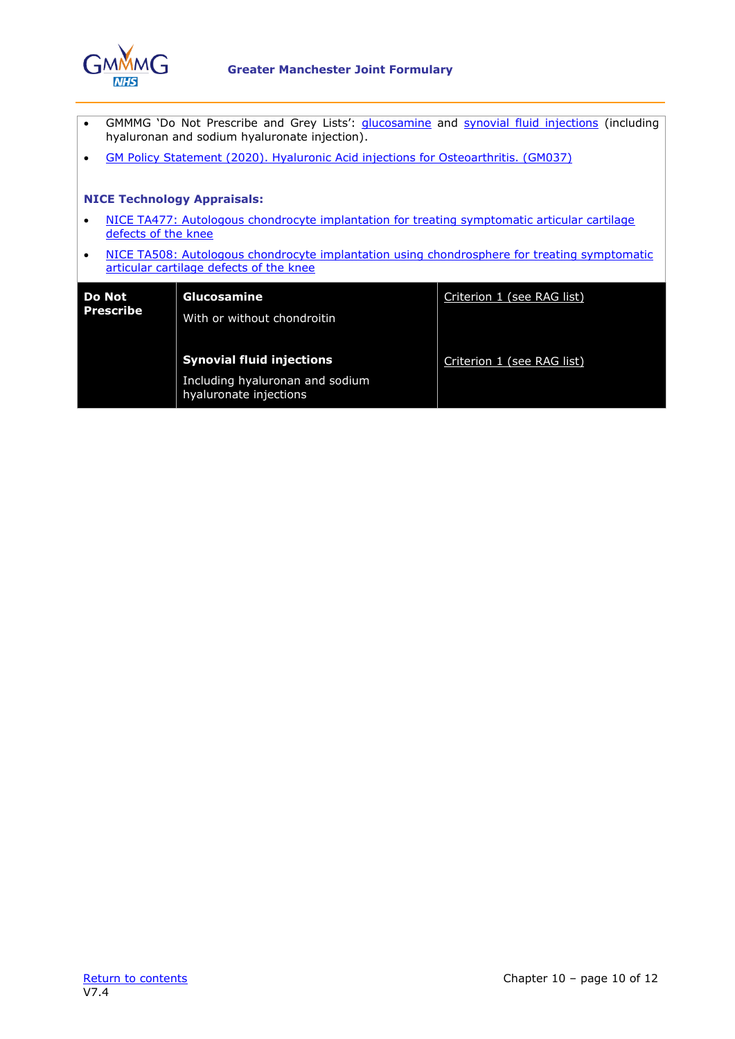

- GMMMG 'Do Not Prescribe and Grey Lists': *[glucosamine](https://gmmmg.nhs.uk/rag-category/adult/#glucosamine-chondroiton)* and *synovial fluid injections* (including hyaluronan and sodium hyaluronate injection).
- [GM Policy Statement \(2020\). Hyaluronic Acid injections for Osteoarthritis. \(GM037\)](https://gmeurnhs.co.uk/Docs/GM%20Policies/GM%20Hyaluronic%20Acid%20Injections%20Policy.pdf)

## **NICE Technology Appraisals:**

- [NICE TA477: Autologous chondrocyte implantation for treating symptomatic articular cartilage](https://www.nice.org.uk/search?q=ta477)  [defects of the knee](https://www.nice.org.uk/search?q=ta477)
- NICE TA508: Autologous chondrocyte implantation using chondrosphere for treating symptomatic [articular cartilage defects of the knee](https://www.nice.org.uk/guidance/TA508)

| Do Not<br><b>Prescribe</b> | Glucosamine<br>With or without chondroitin                                                    | Criterion 1 (see RAG list) |
|----------------------------|-----------------------------------------------------------------------------------------------|----------------------------|
|                            | <b>Synovial fluid injections</b><br>Including hyaluronan and sodium<br>hyaluronate injections | Criterion 1 (see RAG list) |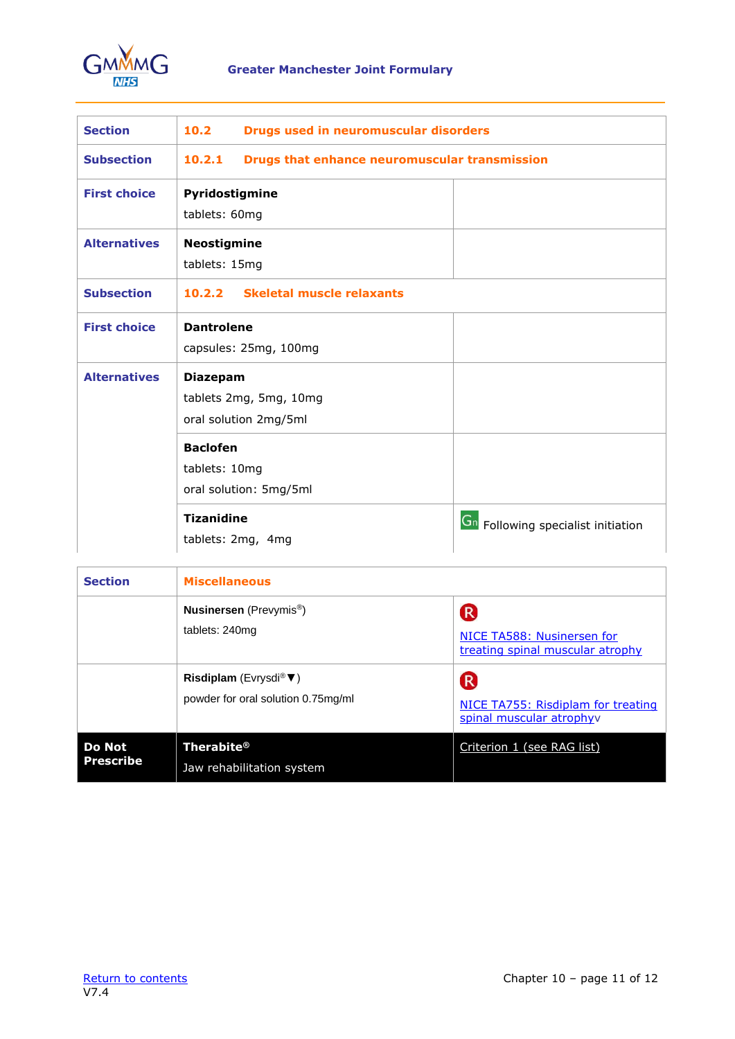

<span id="page-10-0"></span>

| <b>Section</b>      | 10.2<br>Drugs used in neuromuscular disorders                      |                                           |
|---------------------|--------------------------------------------------------------------|-------------------------------------------|
| <b>Subsection</b>   | <b>Drugs that enhance neuromuscular transmission</b><br>10.2.1     |                                           |
| <b>First choice</b> | Pyridostigmine<br>tablets: 60mg                                    |                                           |
| <b>Alternatives</b> | <b>Neostigmine</b><br>tablets: 15mg                                |                                           |
| <b>Subsection</b>   | <b>Skeletal muscle relaxants</b><br>10.2.2                         |                                           |
| <b>First choice</b> | <b>Dantrolene</b><br>capsules: 25mg, 100mg                         |                                           |
| <b>Alternatives</b> | <b>Diazepam</b><br>tablets 2mg, 5mg, 10mg<br>oral solution 2mg/5ml |                                           |
|                     | <b>Baclofen</b><br>tablets: 10mg<br>oral solution: 5mg/5ml         |                                           |
|                     | <b>Tizanidine</b><br>tablets: 2mg, 4mg                             | <b>Gn</b> Following specialist initiation |

| <b>Section</b>                    | <b>Miscellaneous</b>                                                 |                                                                     |
|-----------------------------------|----------------------------------------------------------------------|---------------------------------------------------------------------|
|                                   | <b>Nusinersen</b> (Prevymis <sup>®</sup> )<br>tablets: 240mg         | R<br>NICE TA588: Nusinersen for<br>treating spinal muscular atrophy |
|                                   | Risdiplam (Evrysdi® $\nabla$ )<br>powder for oral solution 0.75mg/ml | R<br>NICE TA755: Risdiplam for treating<br>spinal muscular atrophyv |
| <b>Do Not</b><br><b>Prescribe</b> | <b>Therabite®</b><br>Jaw rehabilitation system                       | Criterion 1 (see RAG list)                                          |